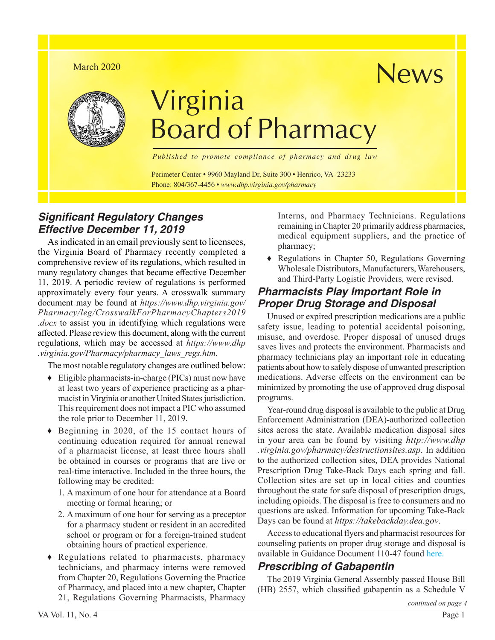#### March 2020



# Virginia Board of Pharmacy

*Published to promote compliance of pharmacy and drug law*

Perimeter Center • 9960 Mayland Dr, Suite 300 • Henrico, VA 23233 Phone: 804/367-4456 • *www.dhp.virginia.gov/pharmacy*

# *Significant Regulatory Changes Effective December 11, 2019*

As indicated in an email previously sent to licensees, the Virginia Board of Pharmacy recently completed a comprehensive review of its regulations, which resulted in many regulatory changes that became effective December 11, 2019. A periodic review of regulations is performed approximately every four years. A crosswalk summary document may be found at *[https://www.dhp.virginia.gov/](https://www.dhp.virginia.gov/Pharmacy/leg/CrosswalkForPharmacyChapters2019.docx) [Pharmacy/leg/CrosswalkForPharmacyChapters2019](https://www.dhp.virginia.gov/Pharmacy/leg/CrosswalkForPharmacyChapters2019.docx) [.docx](https://www.dhp.virginia.gov/Pharmacy/leg/CrosswalkForPharmacyChapters2019.docx)* to assist you in identifying which regulations were affected. Please review this document, along with the current regulations, which may be accessed at *[https://www.dhp](https://www.dhp.virginia.gov/Pharmacy/pharmacy_laws_regs.htm) [.virginia.gov/Pharmacy/pharmacy\\_laws\\_regs.htm.](https://www.dhp.virginia.gov/Pharmacy/pharmacy_laws_regs.htm)*

The most notable regulatory changes are outlined below:

- ♦ Eligible pharmacists-in-charge (PICs) must now have at least two years of experience practicing as a pharmacist in Virginia or another United States jurisdiction. This requirement does not impact a PIC who assumed the role prior to December 11, 2019.
- ♦ Beginning in 2020, of the 15 contact hours of continuing education required for annual renewal of a pharmacist license, at least three hours shall be obtained in courses or programs that are live or real-time interactive. Included in the three hours, the following may be credited:
	- 1. A maximum of one hour for attendance at a Board meeting or formal hearing; or
	- 2. A maximum of one hour for serving as a preceptor for a pharmacy student or resident in an accredited school or program or for a foreign-trained student obtaining hours of practical experience.
- ♦ Regulations related to pharmacists, pharmacy technicians, and pharmacy interns were removed from Chapter 20, Regulations Governing the Practice of Pharmacy, and placed into a new chapter, Chapter 21, Regulations Governing Pharmacists, Pharmacy

Interns, and Pharmacy Technicians. Regulations remaining in Chapter 20 primarily address pharmacies, medical equipment suppliers, and the practice of pharmacy;

News

♦ Regulations in Chapter 50, Regulations Governing Wholesale Distributors, Manufacturers, Warehousers, and Third-Party Logistic Providers*,* were revised.

# *Pharmacists Play Important Role in Proper Drug Storage and Disposal*

Unused or expired prescription medications are a public safety issue, leading to potential accidental poisoning, misuse, and overdose. Proper disposal of unused drugs saves lives and protects the environment. Pharmacists and pharmacy technicians play an important role in educating patients about how to safely dispose of unwanted prescription medications. Adverse effects on the environment can be minimized by promoting the use of approved drug disposal programs.

Year-round drug disposal is available to the public at Drug Enforcement Administration (DEA)-authorized collection sites across the state. Available medication disposal sites in your area can be found by visiting *[http://www.dhp](http://www.dhp.virginia.gov/pharmacy/destructionsites.asp) [.virginia.gov/pharmacy/destructionsites.asp](http://www.dhp.virginia.gov/pharmacy/destructionsites.asp)*. In addition to the authorized collection sites, DEA provides National Prescription Drug Take-Back Days each spring and fall. Collection sites are set up in local cities and counties throughout the state for safe disposal of prescription drugs, including opioids. The disposal is free to consumers and no questions are asked. Information for upcoming Take-Back Days can be found at *[https://takebackday.dea.gov](https://takebackday.dea.gov/)*.

Access to educational flyers and pharmacist resources for counseling patients on proper drug storage and disposal is available in Guidance Document 110-47 found [here.](https://www.dhp.virginia.gov/Pharmacy/pharmacy_guidelines.htm)

# *Prescribing of Gabapentin*

The 2019 Virginia General Assembly passed House Bill (HB) 2557, which classified gabapentin as a Schedule V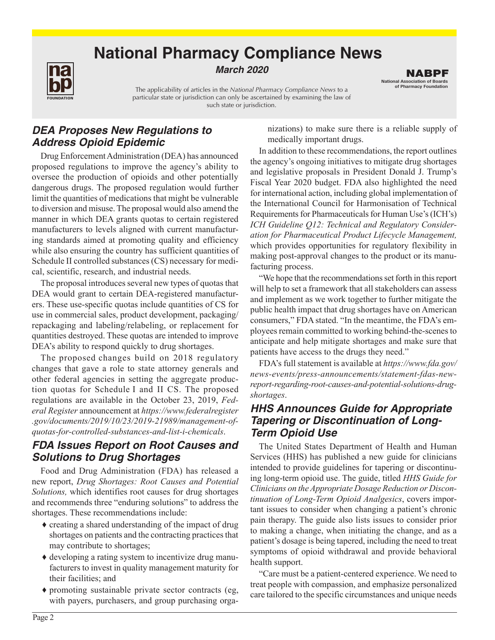# **National Pharmacy Compliance News**

#### **March** *2020*

The applicability of articles in the *National Pharmacy Compliance News* to a particular state or jurisdiction can only be ascertained by examining the law of such state or jurisdiction.

*DEA Proposes New Regulations to Address Opioid Epidemic*

Drug Enforcement Administration (DEA) has announced proposed regulations to improve the agency's ability to oversee the production of opioids and other potentially dangerous drugs. The proposed regulation would further limit the quantities of medications that might be vulnerable to diversion and misuse. The proposal would also amend the manner in which DEA grants quotas to certain registered manufacturers to levels aligned with current manufacturing standards aimed at promoting quality and efficiency while also ensuring the country has sufficient quantities of Schedule II controlled substances (CS) necessary for medical, scientific, research, and industrial needs.

The proposal introduces several new types of quotas that DEA would grant to certain DEA-registered manufacturers. These use-specific quotas include quantities of CS for use in commercial sales, product development, packaging/ repackaging and labeling/relabeling, or replacement for quantities destroyed. These quotas are intended to improve DEA's ability to respond quickly to drug shortages.

The proposed changes build on 2018 regulatory changes that gave a role to state attorney generals and other federal agencies in setting the aggregate production quotas for Schedule I and II CS. The proposed regulations are available in the October 23, 2019, *Federal Register* announcement at *[https://www.federalregister](https://www.federalregister.gov/documents/2019/10/23/2019-21989/management-of-quotas-for-controlled-substances-and-list-i-chemicals) [.gov/documents/2019/10/23/2019-21989/management-of](https://www.federalregister.gov/documents/2019/10/23/2019-21989/management-of-quotas-for-controlled-substances-and-list-i-chemicals)[quotas-for-controlled-substances-and-list-i-chemicals](https://www.federalregister.gov/documents/2019/10/23/2019-21989/management-of-quotas-for-controlled-substances-and-list-i-chemicals)*.

## *FDA Issues Report on Root Causes and Solutions to Drug Shortages*

Food and Drug Administration (FDA) has released a new report, *Drug Shortages: Root Causes and Potential Solutions,* which identifies root causes for drug shortages and recommends three "enduring solutions" to address the shortages. These recommendations include:

- ♦ creating a shared understanding of the impact of drug shortages on patients and the contracting practices that may contribute to shortages;
- ♦ developing a rating system to incentivize drug manufacturers to invest in quality management maturity for their facilities; and
- ♦ promoting sustainable private sector contracts (eg, with payers, purchasers, and group purchasing orga-

nizations) to make sure there is a reliable supply of medically important drugs.

In addition to these recommendations, the report outlines the agency's ongoing initiatives to mitigate drug shortages and legislative proposals in President Donald J. Trump's Fiscal Year 2020 budget. FDA also highlighted the need for international action, including global implementation of the International Council for Harmonisation of Technical Requirements for Pharmaceuticals for Human Use's (ICH's) *ICH Guideline Q12: Technical and Regulatory Consideration for Pharmaceutical Product Lifecycle Management,* which provides opportunities for regulatory flexibility in making post-approval changes to the product or its manufacturing process.

"We hope that the recommendations set forth in this report will help to set a framework that all stakeholders can assess and implement as we work together to further mitigate the public health impact that drug shortages have on American consumers," FDA stated. "In the meantime, the FDA's employees remain committed to working behind-the-scenes to anticipate and help mitigate shortages and make sure that patients have access to the drugs they need."

FDA's full statement is available at *[https://www.fda.gov/](https://www.fda.gov/news-events/press-announcements/statement-fdas-new-report-regarding-root-causes-and-potential-solutions-drug-shortages) [news-events/press-announcements/statement-fdas-new](https://www.fda.gov/news-events/press-announcements/statement-fdas-new-report-regarding-root-causes-and-potential-solutions-drug-shortages)[report-regarding-root-causes-and-potential-solutions-drug](https://www.fda.gov/news-events/press-announcements/statement-fdas-new-report-regarding-root-causes-and-potential-solutions-drug-shortages)[shortages](https://www.fda.gov/news-events/press-announcements/statement-fdas-new-report-regarding-root-causes-and-potential-solutions-drug-shortages)*.

## *HHS Announces Guide for Appropriate Tapering or Discontinuation of Long-Term Opioid Use*

The United States Department of Health and Human Services (HHS) has published a new guide for clinicians intended to provide guidelines for tapering or discontinuing long-term opioid use. The guide, titled *HHS Guide for Clinicians on the Appropriate Dosage Reduction or Discontinuation of Long-Term Opioid Analgesics*, covers important issues to consider when changing a patient's chronic pain therapy. The guide also lists issues to consider prior to making a change, when initiating the change, and as a patient's dosage is being tapered, including the need to treat symptoms of opioid withdrawal and provide behavioral health support.

"Care must be a patient-centered experience. We need to treat people with compassion, and emphasize personalized care tailored to the specific circumstances and unique needs

FOUNDATION

National Association of Boards of Pharmacy Foundation NABPF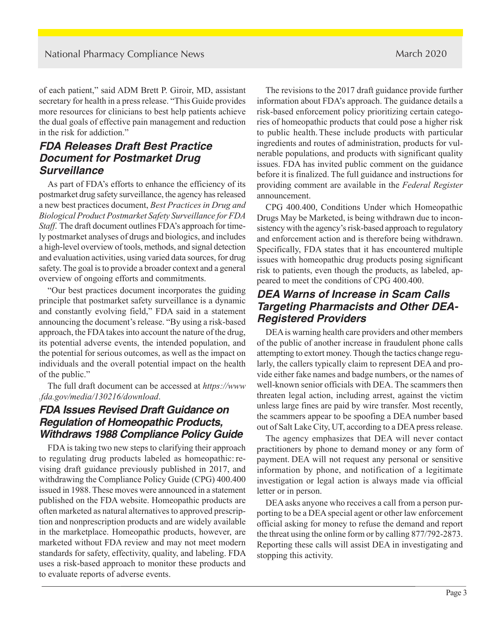of each patient," said ADM Brett P. Giroir, MD, assistant secretary for health in a press release. "This Guide provides more resources for clinicians to best help patients achieve the dual goals of effective pain management and reduction in the risk for addiction."

# *FDA Releases Draft Best Practice Document for Postmarket Drug Surveillance*

As part of FDA's efforts to enhance the efficiency of its postmarket drug safety surveillance, the agency has released a new best practices document, *Best Practices in Drug and Biological Product Postmarket Safety Surveillance for FDA Staff*. The draft document outlines FDA's approach for timely postmarket analyses of drugs and biologics, and includes a high-level overview of tools, methods, and signal detection and evaluation activities, using varied data sources, for drug safety. The goal is to provide a broader context and a general overview of ongoing efforts and commitments.

"Our best practices document incorporates the guiding principle that postmarket safety surveillance is a dynamic and constantly evolving field," FDA said in a statement announcing the document's release. "By using a risk-based approach, the FDA takes into account the nature of the drug, its potential adverse events, the intended population, and the potential for serious outcomes, as well as the impact on individuals and the overall potential impact on the health of the public."

The full draft document can be accessed at *[https://www](https://www.fda.gov/media/130216/download) [.fda.gov/media/130216/download](https://www.fda.gov/media/130216/download)*.

# *FDA Issues Revised Draft Guidance on Regulation of Homeopathic Products, Withdraws 1988 Compliance Policy Guide*

FDA is taking two new steps to clarifying their approach to regulating drug products labeled as homeopathic: revising draft guidance previously published in 2017, and withdrawing the Compliance Policy Guide (CPG) 400.400 issued in 1988. These moves were announced in a statement published on the FDA website. Homeopathic products are often marketed as natural alternatives to approved prescription and nonprescription products and are widely available in the marketplace. Homeopathic products, however, are marketed without FDA review and may not meet modern standards for safety, effectivity, quality, and labeling. FDA uses a risk-based approach to monitor these products and to evaluate reports of adverse events.

The revisions to the 2017 draft guidance provide further information about FDA's approach. The guidance details a risk-based enforcement policy prioritizing certain categories of homeopathic products that could pose a higher risk to public health. These include products with particular ingredients and routes of administration, products for vulnerable populations, and products with significant quality issues. FDA has invited public comment on the guidance before it is finalized. The full guidance and instructions for providing comment are available in the *Federal Register*  announcement.

CPG 400.400, Conditions Under which Homeopathic Drugs May be Marketed, is being withdrawn due to inconsistency with the agency's risk-based approach to regulatory and enforcement action and is therefore being withdrawn. Specifically, FDA states that it has encountered multiple issues with homeopathic drug products posing significant risk to patients, even though the products, as labeled, appeared to meet the conditions of CPG 400.400.

## *DEA Warns of Increase in Scam Calls Targeting Pharmacists and Other DEA-Registered Providers*

DEA is warning health care providers and other members of the public of another increase in fraudulent phone calls attempting to extort money. Though the tactics change regularly, the callers typically claim to represent DEA and provide either fake names and badge numbers, or the names of well-known senior officials with DEA. The scammers then threaten legal action, including arrest, against the victim unless large fines are paid by wire transfer. Most recently, the scammers appear to be spoofing a DEA number based out of Salt Lake City, UT, according to a DEA press release.

The agency emphasizes that DEA will never contact practitioners by phone to demand money or any form of payment. DEA will not request any personal or sensitive information by phone, and notification of a legitimate investigation or legal action is always made via official letter or in person.

DEA asks anyone who receives a call from a person purporting to be a DEA special agent or other law enforcement official asking for money to refuse the demand and report the threat using the online form or by calling 877/792-2873. Reporting these calls will assist DEA in investigating and stopping this activity.